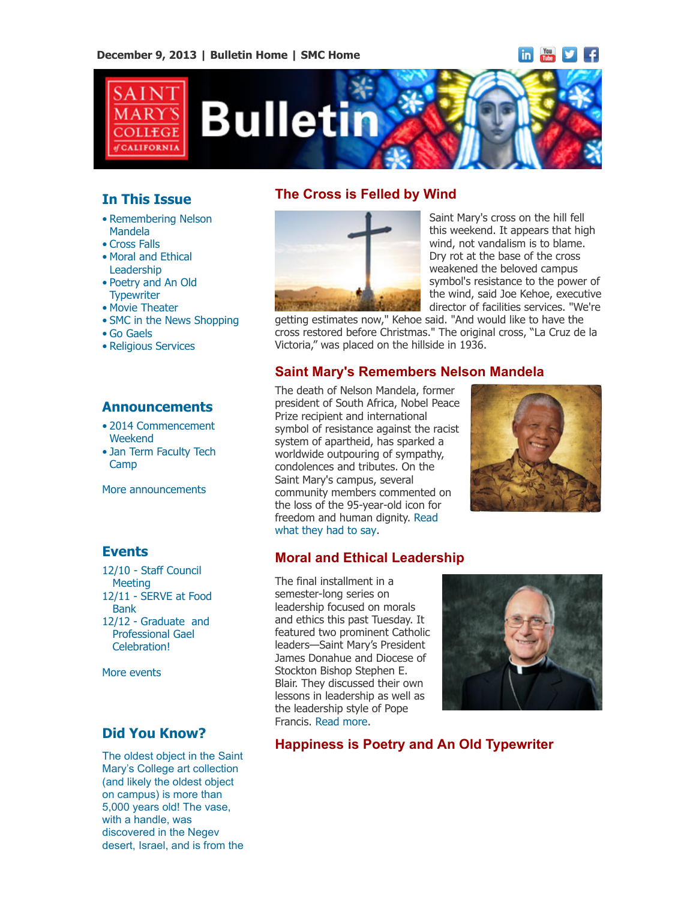# $\frac{1}{2}$  in  $\frac{1}{2}$   $\frac{1}{2}$   $\frac{1}{2}$   $\frac{1}{2}$   $\frac{1}{2}$



# **In This Issue**

- [•](file:///Users/smallalieu/Desktop/test.html#09_30_13_studentslearn) Remembering Nelson Mandela
- Cross Falls
- Moral and Ethical Leadership
- Poetry and An Old **Typewriter**
- Movie Theater
- SMC in the News Shopping
- Go Gaels
- Religious Services

### **Announcements**

- [•](file:///Users/smallalieu/Desktop/test.html#09_30_13_studentslearn) [2014 Commencement](http://www.stmarys-ca.edu/commencement-weekend-2014?utm_source=Bulletin&utm_medium=email&utm_campaign=12-09-13) Weekend
- [Jan Term Faculty Tech](http://www.stmarys-ca.edu/jan-term-2014-faculty-tech-camp-0?utm_source=Bulletin&utm_medium=email&utm_campaign=12-09-13) Camp

[More announcements](http://www.stmarys-ca.edu/smc-bulletin/announcements?utm_source=Bulletin&utm_medium=email&utm_campaign=12-09-2013)

### **Events**

[12/10 - Staff Council](http://www.stmarys-ca.edu/staff-council-december-meeting?utm_source=Bulletin&utm_medium=email&utm_campaign=12-09-13) Meeting 12/11 [- SERVE at Food](http://www.stmarys-ca.edu/serve-at-san-francisco-food-bank?utm_source=Bulletin&utm_medium=email&utm_campaign=12-09-13) Bank 12/12 - Graduate and  [Professional Gael](http://www.stmarys-ca.edu/graduate-and-professional-gael-end-of-term-celebration?utm_source=Bulletin&utm_medium=email&utm_campaign=12-09-13) Celebration!

[More events](http://www.stmarys-ca.edu/calendar/63?utm_source=Bulletin&utm_medium=email&utm_campaign=12-09-2013)

## **Did You Know?**

The oldest object in the Saint Mary's College art collection (and likely the oldest object on campus) is more than 5,000 years old! The vase, with a handle, was discovered in the Negev desert, Israel, and is from the



**The Cross is Felled by Wind**

Saint Mary's cross on the hill fell this weekend. It appears that high wind, not vandalism is to blame. Dry rot at the base of the cross weakened the beloved campus symbol's resistance to the power of the wind, said Joe Kehoe, executive director of facilities services. "We're

getting estimates now," Kehoe said. "And would like to have the cross restored before Christmas." The original cross, "La Cruz de la Victoria," was placed on the hillside in 1936.

### **Saint Mary's Remembers Nelson Mandela**

The death of Nelson Mandela, former president of South Africa, Nobel Peace Prize recipient and international symbol of resistance against the racist system of apartheid, has sparked a worldwide outpouring of sympathy, condolences and tributes. On the Saint Mary's campus, several community members commented on the loss of the 95-year-old icon for [freedom and human dignity. Read](http://www.stmarys-ca.edu/saint-marys-community-members-reflect-on-the-passing-of-nelson-mandela?utm_source=Bulletin&utm_medium=email&utm_campaign=12-09-2013) what they had to say.

## **Moral and Ethical Leadership**

The final installment in a semester-long series on leadership focused on morals and ethics this past Tuesday. It featured two prominent Catholic leaders—Saint Mary's President James Donahue and Diocese of Stockton Bishop Stephen E. Blair. They discussed their own lessons in leadership as well as the leadership style of Pope Francis. [Read more.](http://www.stmarys-ca.edu/moral-and-ethical-leadership?utm_source=Bulletin&utm_medium=email&utm_campaign=12-09-2013)



## **Happiness is Poetry and An Old Typewriter**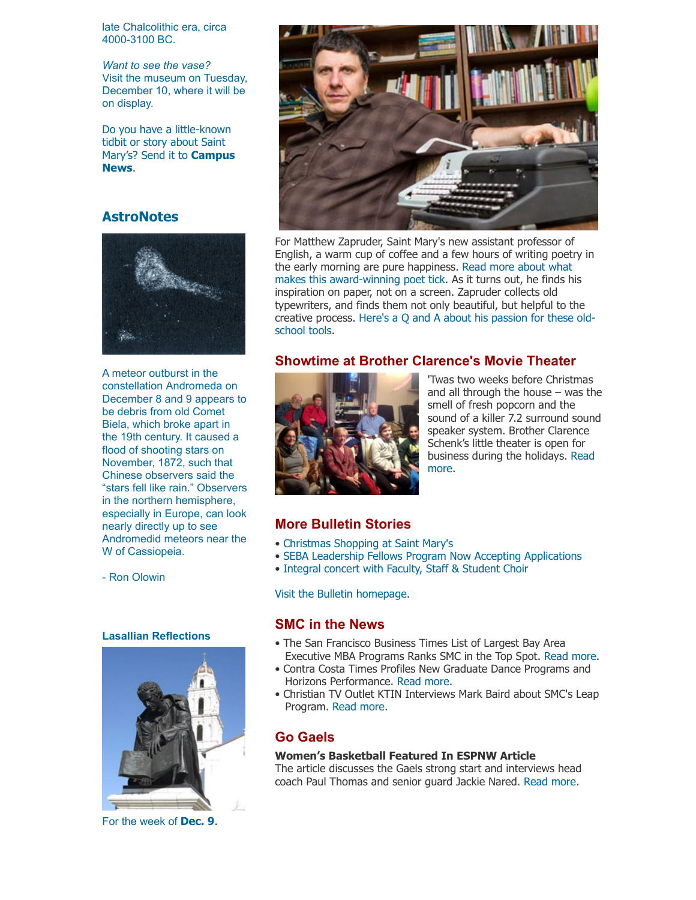late Chalcolithic era, circa 4000-3100 BC.

*Want to see the vase?* Visit the museum on Tuesday, December 10, where it will be on display.

Do you have a little-known tidbit or story about Saint [Mary's? Send it to](mailto:news@stmarys-ca.edu) **Campus News**.

#### **AstroNotes**



A meteor outburst in the constellation Andromeda on December 8 and 9 appears to be debris from old Comet Biela, which broke apart in the 19th century. It caused a flood of shooting stars on November, 1872, such that Chinese observers said the "stars fell like rain." Observers in the northern hemisphere, especially in Europe, can look nearly directly up to see Andromedid meteors near the W of Cassiopeia.

- Ron Olowin

#### **Lasallian Reflections**



For the week of **[Dec. 9](http://www.stmarys-ca.edu/living-lasallian/lasallian-reflections?utm_source=Bulletin&utm_medium=email&utm_campaign=12-09-2013)**.



For Matthew Zapruder, Saint Mary's new assistant professor of English, a warm cup of coffee and a few hours of writing poetry in the early morning are pure happiness. Read more about what [makes this award-winning poet tick. As it turns out, he finds h](http://www.stmarys-ca.edu/happiness-and-poetry?utm_source=Bulletin&utm_medium=email&utm_campaign=12-09-13)is inspiration on paper, not on a screen. Zapruder collects old typewriters, and finds them not only beautiful, but helpful to the [creative process. Here's a Q and A about his passion for these old](http://www.stmarys-ca.edu/writing-poetry-old-school?utm_source=Bulletin&utm_medium=email&utm_campaign=12-09-13)school tools.

#### **Showtime at Brother Clarence's Movie Theater**



'Twas two weeks before Christmas and all through the house – was the smell of fresh popcorn and the sound of a killer 7.2 surround sound speaker system. Brother Clarence Schenk's little theater is open for [business during the holidays. Read](http://www.stmarys-ca.edu/showtime-at-brother-clarences-movie-theater?utm_source=Bulletin&utm_medium=email&utm_campaign=12-09-2013) more.

#### **More Bulletin Stories**

- • [Christmas Shopping at Saint Mary's](http://www.stmarys-ca.edu/christmas-shopping-at-saint-marys?utm_source=Bulletin&utm_medium=email&utm_campaign=12-09-2013)
- • [SEBA Leadership Fellows Program Now Accepting Applications](http://www.stmarys-ca.edu/node/38511?utm_source=Bulletin&utm_medium=email&utm_campaign=12-09-2013)
- • [Integral concert with Faculty, Staff & Student Choir](http://www.stmarys-ca.edu/integral-christmas-program?utm_source=Bulletin&utm_medium=email&utm_campaign=12-09-2013)

[Visit the Bulletin homepage.](http://www.stmarys-ca.edu/smc-bulletin?utm_source=Bulletin&utm_medium=email&utm_campaign=12-09-2013)

#### **SMC in the News**

- The San Francisco Business Times List of Largest Bay Area Executive MBA Programs Ranks SMC in the Top Spot. [Read more.](http://www.stmarys-ca.edu/san-francisco-business-times-list-of-exec-mba-programs-ranks-smc-at-top-spot?utm_source=Bulletin&utm_medium=email&utm_campaign=12-09-2013)
- Contra Costa Times Profiles New Graduate Dance Programs and Horizons Performance. [Read more.](http://www.stmarys-ca.edu/contra-costa-times-profiles-new-graduate-dance-programs-and-horizons-performance?utm_source=Bulletin&utm_medium=email&utm_campaign=12-09-2013)
- Christian TV Outlet KTIN Interviews Mark Baird about SMC's Leap Program. [Read more.](http://www.stmarys-ca.edu/christian-tv-outlet-ktln-interviews-mark-baird-about-smcs-leap-program?utm_source=Bulletin&utm_medium=email&utm_campaign=12-09-2013)

#### **Go Gaels**

#### **Women's Basketball Featured In ESPNW Article**

The article discusses the Gaels strong start and interviews head coach Paul Thomas and senior guard Jackie Nared. [Read more.](http://smcgaels.wordpress.com/2013/12/03/gaels-womens-basketball-featured-in-espnw-article/)